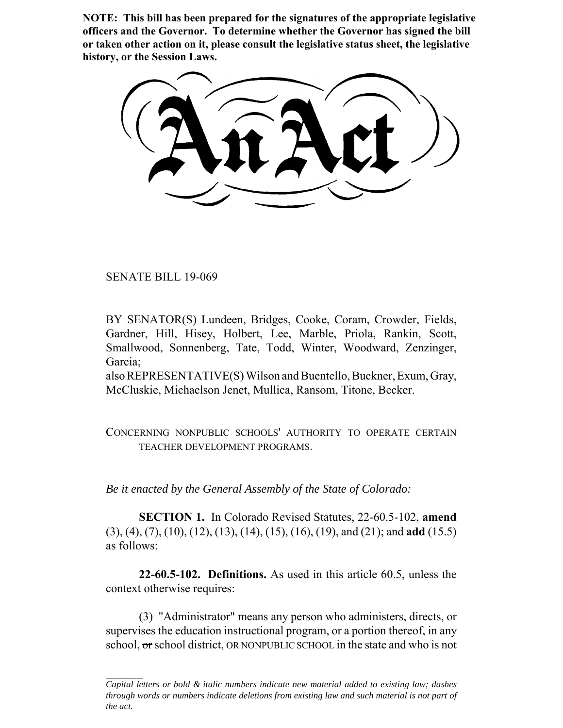**NOTE: This bill has been prepared for the signatures of the appropriate legislative officers and the Governor. To determine whether the Governor has signed the bill or taken other action on it, please consult the legislative status sheet, the legislative history, or the Session Laws.**

SENATE BILL 19-069

BY SENATOR(S) Lundeen, Bridges, Cooke, Coram, Crowder, Fields, Gardner, Hill, Hisey, Holbert, Lee, Marble, Priola, Rankin, Scott, Smallwood, Sonnenberg, Tate, Todd, Winter, Woodward, Zenzinger, Garcia;

also REPRESENTATIVE(S) Wilson and Buentello, Buckner, Exum, Gray, McCluskie, Michaelson Jenet, Mullica, Ransom, Titone, Becker.

CONCERNING NONPUBLIC SCHOOLS' AUTHORITY TO OPERATE CERTAIN TEACHER DEVELOPMENT PROGRAMS.

*Be it enacted by the General Assembly of the State of Colorado:*

**SECTION 1.** In Colorado Revised Statutes, 22-60.5-102, **amend** (3), (4), (7), (10), (12), (13), (14), (15), (16), (19), and (21); and **add** (15.5) as follows:

**22-60.5-102. Definitions.** As used in this article 60.5, unless the context otherwise requires:

(3) "Administrator" means any person who administers, directs, or supervises the education instructional program, or a portion thereof, in any school, or school district, OR NONPUBLIC SCHOOL in the state and who is not

*Capital letters or bold & italic numbers indicate new material added to existing law; dashes through words or numbers indicate deletions from existing law and such material is not part of the act.*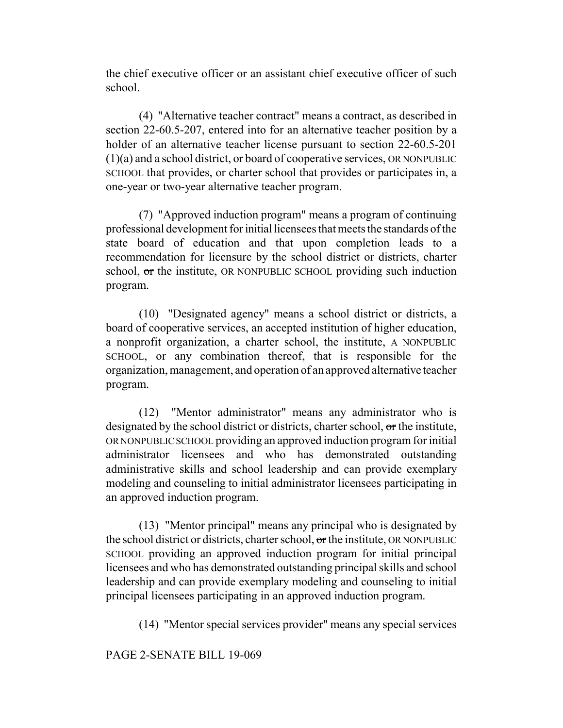the chief executive officer or an assistant chief executive officer of such school.

(4) "Alternative teacher contract" means a contract, as described in section 22-60.5-207, entered into for an alternative teacher position by a holder of an alternative teacher license pursuant to section 22-60.5-201  $(1)(a)$  and a school district,  $\sigma r$  board of cooperative services, OR NONPUBLIC SCHOOL that provides, or charter school that provides or participates in, a one-year or two-year alternative teacher program.

(7) "Approved induction program" means a program of continuing professional development for initial licensees that meets the standards of the state board of education and that upon completion leads to a recommendation for licensure by the school district or districts, charter school, or the institute, OR NONPUBLIC SCHOOL providing such induction program.

(10) "Designated agency" means a school district or districts, a board of cooperative services, an accepted institution of higher education, a nonprofit organization, a charter school, the institute, A NONPUBLIC SCHOOL, or any combination thereof, that is responsible for the organization, management, and operation of an approved alternative teacher program.

(12) "Mentor administrator" means any administrator who is designated by the school district or districts, charter school, or the institute, OR NONPUBLIC SCHOOL providing an approved induction program for initial administrator licensees and who has demonstrated outstanding administrative skills and school leadership and can provide exemplary modeling and counseling to initial administrator licensees participating in an approved induction program.

(13) "Mentor principal" means any principal who is designated by the school district or districts, charter school, or the institute, OR NONPUBLIC SCHOOL providing an approved induction program for initial principal licensees and who has demonstrated outstanding principal skills and school leadership and can provide exemplary modeling and counseling to initial principal licensees participating in an approved induction program.

(14) "Mentor special services provider" means any special services

PAGE 2-SENATE BILL 19-069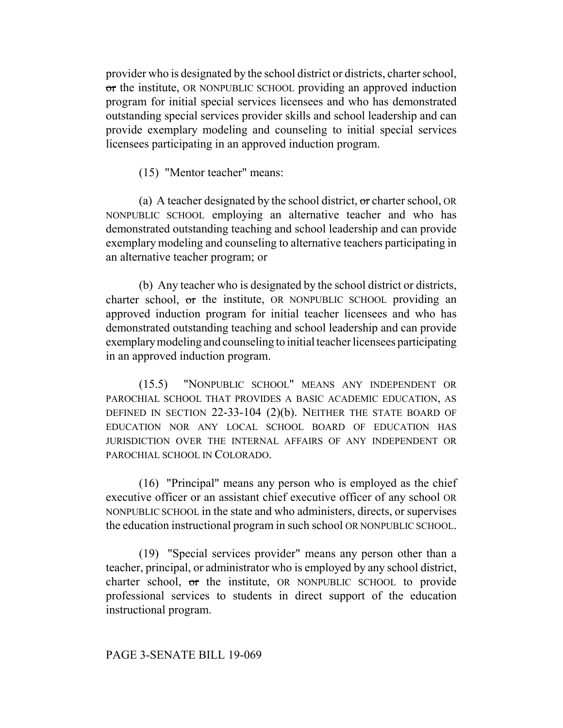provider who is designated by the school district or districts, charter school, or the institute, OR NONPUBLIC SCHOOL providing an approved induction program for initial special services licensees and who has demonstrated outstanding special services provider skills and school leadership and can provide exemplary modeling and counseling to initial special services licensees participating in an approved induction program.

(15) "Mentor teacher" means:

(a) A teacher designated by the school district,  $\sigma$  charter school, OR NONPUBLIC SCHOOL employing an alternative teacher and who has demonstrated outstanding teaching and school leadership and can provide exemplary modeling and counseling to alternative teachers participating in an alternative teacher program; or

(b) Any teacher who is designated by the school district or districts, charter school, or the institute, OR NONPUBLIC SCHOOL providing an approved induction program for initial teacher licensees and who has demonstrated outstanding teaching and school leadership and can provide exemplary modeling and counseling to initial teacher licensees participating in an approved induction program.

(15.5) "NONPUBLIC SCHOOL" MEANS ANY INDEPENDENT OR PAROCHIAL SCHOOL THAT PROVIDES A BASIC ACADEMIC EDUCATION, AS DEFINED IN SECTION 22-33-104 (2)(b). NEITHER THE STATE BOARD OF EDUCATION NOR ANY LOCAL SCHOOL BOARD OF EDUCATION HAS JURISDICTION OVER THE INTERNAL AFFAIRS OF ANY INDEPENDENT OR PAROCHIAL SCHOOL IN COLORADO.

(16) "Principal" means any person who is employed as the chief executive officer or an assistant chief executive officer of any school OR NONPUBLIC SCHOOL in the state and who administers, directs, or supervises the education instructional program in such school OR NONPUBLIC SCHOOL.

(19) "Special services provider" means any person other than a teacher, principal, or administrator who is employed by any school district, charter school, or the institute, OR NONPUBLIC SCHOOL to provide professional services to students in direct support of the education instructional program.

# PAGE 3-SENATE BILL 19-069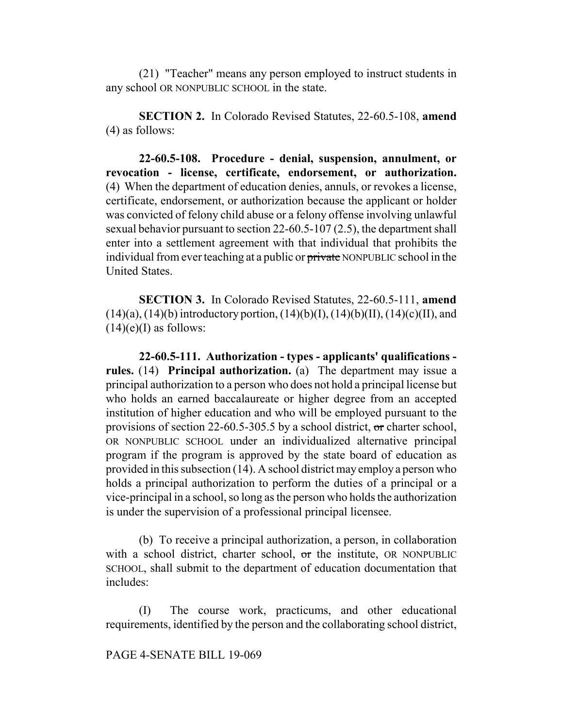(21) "Teacher" means any person employed to instruct students in any school OR NONPUBLIC SCHOOL in the state.

**SECTION 2.** In Colorado Revised Statutes, 22-60.5-108, **amend** (4) as follows:

**22-60.5-108. Procedure - denial, suspension, annulment, or revocation - license, certificate, endorsement, or authorization.** (4) When the department of education denies, annuls, or revokes a license, certificate, endorsement, or authorization because the applicant or holder was convicted of felony child abuse or a felony offense involving unlawful sexual behavior pursuant to section 22-60.5-107 (2.5), the department shall enter into a settlement agreement with that individual that prohibits the individual from ever teaching at a public or private NONPUBLIC school in the United States.

**SECTION 3.** In Colorado Revised Statutes, 22-60.5-111, **amend**  $(14)(a)$ ,  $(14)(b)$  introductory portion,  $(14)(b)(I)$ ,  $(14)(b)(II)$ ,  $(14)(c)(II)$ , and  $(14)(e)$ (I) as follows:

**22-60.5-111. Authorization - types - applicants' qualifications rules.** (14) **Principal authorization.** (a) The department may issue a principal authorization to a person who does not hold a principal license but who holds an earned baccalaureate or higher degree from an accepted institution of higher education and who will be employed pursuant to the provisions of section 22-60.5-305.5 by a school district, or charter school, OR NONPUBLIC SCHOOL under an individualized alternative principal program if the program is approved by the state board of education as provided in this subsection (14). A school district may employ a person who holds a principal authorization to perform the duties of a principal or a vice-principal in a school, so long as the person who holds the authorization is under the supervision of a professional principal licensee.

(b) To receive a principal authorization, a person, in collaboration with a school district, charter school, or the institute, OR NONPUBLIC SCHOOL, shall submit to the department of education documentation that includes:

(I) The course work, practicums, and other educational requirements, identified by the person and the collaborating school district,

PAGE 4-SENATE BILL 19-069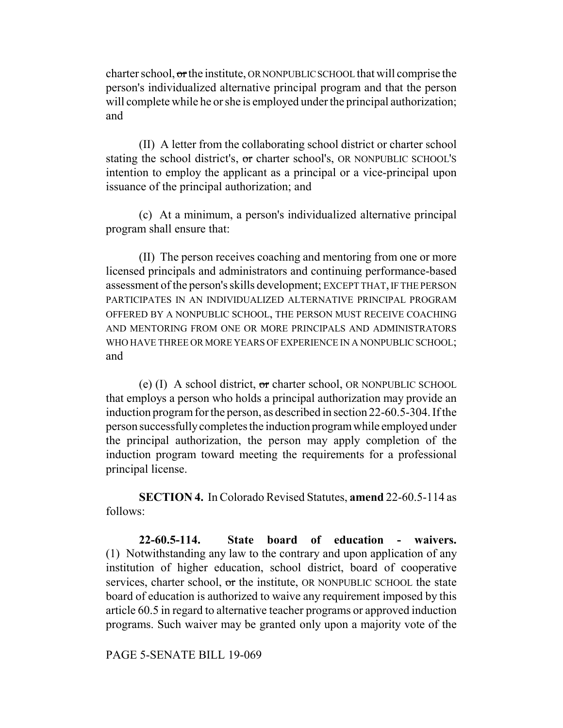charter school, or the institute, OR NONPUBLIC SCHOOL that will comprise the person's individualized alternative principal program and that the person will complete while he or she is employed under the principal authorization; and

(II) A letter from the collaborating school district or charter school stating the school district's, or charter school's, OR NONPUBLIC SCHOOL'S intention to employ the applicant as a principal or a vice-principal upon issuance of the principal authorization; and

(c) At a minimum, a person's individualized alternative principal program shall ensure that:

(II) The person receives coaching and mentoring from one or more licensed principals and administrators and continuing performance-based assessment of the person's skills development; EXCEPT THAT, IF THE PERSON PARTICIPATES IN AN INDIVIDUALIZED ALTERNATIVE PRINCIPAL PROGRAM OFFERED BY A NONPUBLIC SCHOOL, THE PERSON MUST RECEIVE COACHING AND MENTORING FROM ONE OR MORE PRINCIPALS AND ADMINISTRATORS WHO HAVE THREE OR MORE YEARS OF EXPERIENCE IN A NONPUBLIC SCHOOL; and

(e)  $(I)$  A school district, or charter school, OR NONPUBLIC SCHOOL that employs a person who holds a principal authorization may provide an induction program for the person, as described in section 22-60.5-304. If the person successfully completes the induction program while employed under the principal authorization, the person may apply completion of the induction program toward meeting the requirements for a professional principal license.

**SECTION 4.** In Colorado Revised Statutes, **amend** 22-60.5-114 as follows:

**22-60.5-114. State board of education - waivers.** (1) Notwithstanding any law to the contrary and upon application of any institution of higher education, school district, board of cooperative services, charter school, or the institute, OR NONPUBLIC SCHOOL the state board of education is authorized to waive any requirement imposed by this article 60.5 in regard to alternative teacher programs or approved induction programs. Such waiver may be granted only upon a majority vote of the

PAGE 5-SENATE BILL 19-069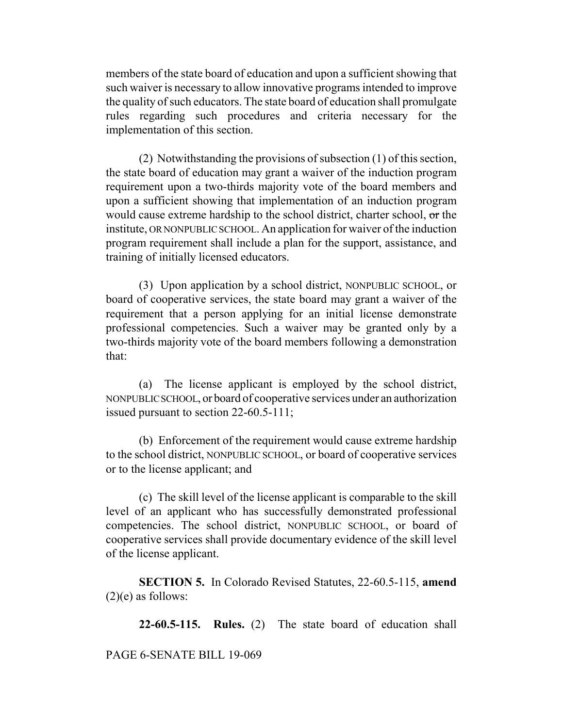members of the state board of education and upon a sufficient showing that such waiver is necessary to allow innovative programs intended to improve the quality of such educators. The state board of education shall promulgate rules regarding such procedures and criteria necessary for the implementation of this section.

(2) Notwithstanding the provisions of subsection (1) of this section, the state board of education may grant a waiver of the induction program requirement upon a two-thirds majority vote of the board members and upon a sufficient showing that implementation of an induction program would cause extreme hardship to the school district, charter school, or the institute, OR NONPUBLIC SCHOOL. An application for waiver of the induction program requirement shall include a plan for the support, assistance, and training of initially licensed educators.

(3) Upon application by a school district, NONPUBLIC SCHOOL, or board of cooperative services, the state board may grant a waiver of the requirement that a person applying for an initial license demonstrate professional competencies. Such a waiver may be granted only by a two-thirds majority vote of the board members following a demonstration that:

(a) The license applicant is employed by the school district, NONPUBLIC SCHOOL, or board of cooperative services under an authorization issued pursuant to section 22-60.5-111;

(b) Enforcement of the requirement would cause extreme hardship to the school district, NONPUBLIC SCHOOL, or board of cooperative services or to the license applicant; and

(c) The skill level of the license applicant is comparable to the skill level of an applicant who has successfully demonstrated professional competencies. The school district, NONPUBLIC SCHOOL, or board of cooperative services shall provide documentary evidence of the skill level of the license applicant.

**SECTION 5.** In Colorado Revised Statutes, 22-60.5-115, **amend**  $(2)(e)$  as follows:

**22-60.5-115. Rules.** (2) The state board of education shall

PAGE 6-SENATE BILL 19-069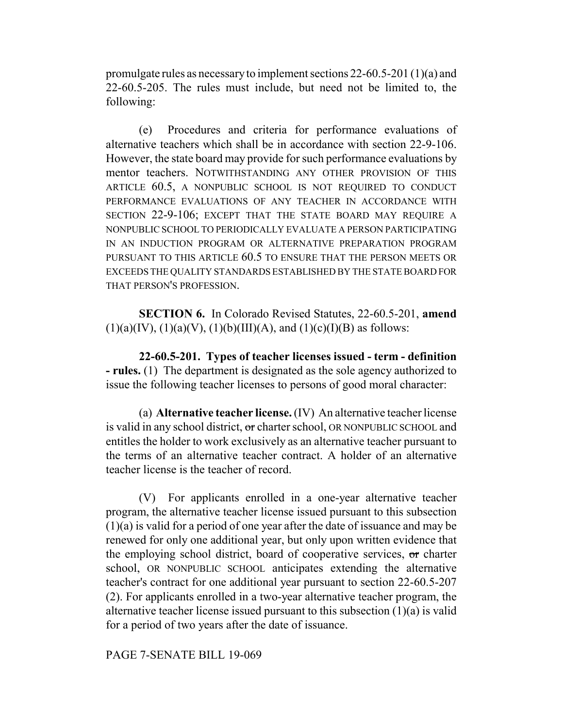promulgate rules as necessary to implement sections 22-60.5-201 (1)(a) and 22-60.5-205. The rules must include, but need not be limited to, the following:

(e) Procedures and criteria for performance evaluations of alternative teachers which shall be in accordance with section 22-9-106. However, the state board may provide for such performance evaluations by mentor teachers. NOTWITHSTANDING ANY OTHER PROVISION OF THIS ARTICLE 60.5, A NONPUBLIC SCHOOL IS NOT REQUIRED TO CONDUCT PERFORMANCE EVALUATIONS OF ANY TEACHER IN ACCORDANCE WITH SECTION 22-9-106; EXCEPT THAT THE STATE BOARD MAY REQUIRE A NONPUBLIC SCHOOL TO PERIODICALLY EVALUATE A PERSON PARTICIPATING IN AN INDUCTION PROGRAM OR ALTERNATIVE PREPARATION PROGRAM PURSUANT TO THIS ARTICLE 60.5 TO ENSURE THAT THE PERSON MEETS OR EXCEEDS THE QUALITY STANDARDS ESTABLISHED BY THE STATE BOARD FOR THAT PERSON'S PROFESSION.

**SECTION 6.** In Colorado Revised Statutes, 22-60.5-201, **amend**  $(1)(a)(IV), (1)(a)(V), (1)(b)(III)(A), and (1)(c)(I)(B)$  as follows:

**22-60.5-201. Types of teacher licenses issued - term - definition - rules.** (1) The department is designated as the sole agency authorized to issue the following teacher licenses to persons of good moral character:

(a) **Alternative teacher license.** (IV) An alternative teacher license is valid in any school district, or charter school, OR NONPUBLIC SCHOOL and entitles the holder to work exclusively as an alternative teacher pursuant to the terms of an alternative teacher contract. A holder of an alternative teacher license is the teacher of record.

(V) For applicants enrolled in a one-year alternative teacher program, the alternative teacher license issued pursuant to this subsection (1)(a) is valid for a period of one year after the date of issuance and may be renewed for only one additional year, but only upon written evidence that the employing school district, board of cooperative services, or charter school, OR NONPUBLIC SCHOOL anticipates extending the alternative teacher's contract for one additional year pursuant to section 22-60.5-207 (2). For applicants enrolled in a two-year alternative teacher program, the alternative teacher license issued pursuant to this subsection (1)(a) is valid for a period of two years after the date of issuance.

## PAGE 7-SENATE BILL 19-069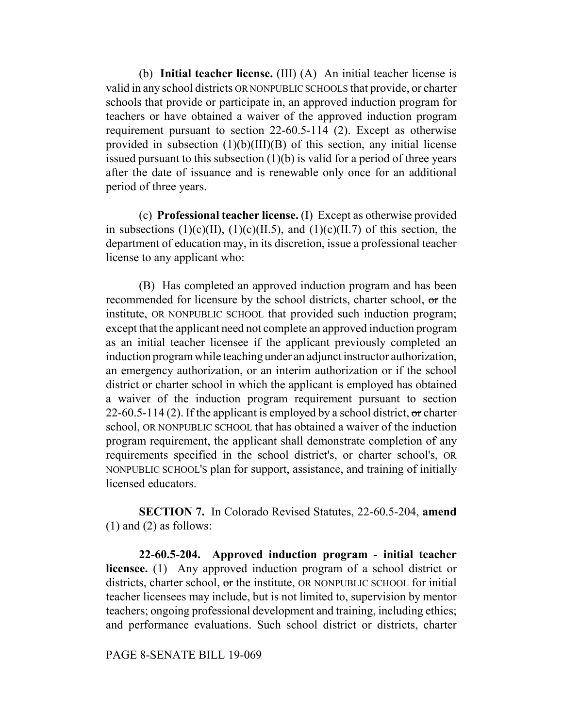(b) **Initial teacher license.** (III) (A) An initial teacher license is valid in any school districts OR NONPUBLIC SCHOOLS that provide, or charter schools that provide or participate in, an approved induction program for teachers or have obtained a waiver of the approved induction program requirement pursuant to section 22-60.5-114 (2). Except as otherwise provided in subsection  $(1)(b)(III)(B)$  of this section, any initial license issued pursuant to this subsection (1)(b) is valid for a period of three years after the date of issuance and is renewable only once for an additional period of three years.

(c) **Professional teacher license.** (I) Except as otherwise provided in subsections (1)(c)(II), (1)(c)(II.5), and (1)(c)(II.7) of this section, the department of education may, in its discretion, issue a professional teacher license to any applicant who:

(B) Has completed an approved induction program and has been recommended for licensure by the school districts, charter school, or the institute, OR NONPUBLIC SCHOOL that provided such induction program; except that the applicant need not complete an approved induction program as an initial teacher licensee if the applicant previously completed an induction program while teaching under an adjunct instructor authorization, an emergency authorization, or an interim authorization or if the school district or charter school in which the applicant is employed has obtained a waiver of the induction program requirement pursuant to section 22-60.5-114 (2). If the applicant is employed by a school district,  $\sigma$  charter school, OR NONPUBLIC SCHOOL that has obtained a waiver of the induction program requirement, the applicant shall demonstrate completion of any requirements specified in the school district's, or charter school's, OR NONPUBLIC SCHOOL'S plan for support, assistance, and training of initially licensed educators.

**SECTION 7.** In Colorado Revised Statutes, 22-60.5-204, **amend** (1) and (2) as follows:

**22-60.5-204. Approved induction program - initial teacher licensee.** (1) Any approved induction program of a school district or districts, charter school, or the institute, OR NONPUBLIC SCHOOL for initial teacher licensees may include, but is not limited to, supervision by mentor teachers; ongoing professional development and training, including ethics; and performance evaluations. Such school district or districts, charter

PAGE 8-SENATE BILL 19-069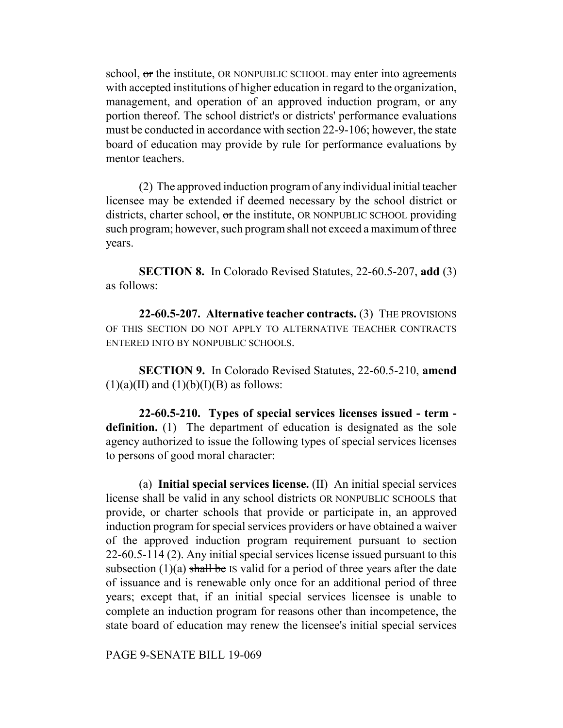school, or the institute, OR NONPUBLIC SCHOOL may enter into agreements with accepted institutions of higher education in regard to the organization, management, and operation of an approved induction program, or any portion thereof. The school district's or districts' performance evaluations must be conducted in accordance with section 22-9-106; however, the state board of education may provide by rule for performance evaluations by mentor teachers.

(2) The approved induction program of any individual initial teacher licensee may be extended if deemed necessary by the school district or districts, charter school, or the institute, OR NONPUBLIC SCHOOL providing such program; however, such program shall not exceed a maximum of three years.

**SECTION 8.** In Colorado Revised Statutes, 22-60.5-207, **add** (3) as follows:

**22-60.5-207. Alternative teacher contracts.** (3) THE PROVISIONS OF THIS SECTION DO NOT APPLY TO ALTERNATIVE TEACHER CONTRACTS ENTERED INTO BY NONPUBLIC SCHOOLS.

**SECTION 9.** In Colorado Revised Statutes, 22-60.5-210, **amend**  $(1)(a)(II)$  and  $(1)(b)(I)(B)$  as follows:

**22-60.5-210. Types of special services licenses issued - term definition.** (1) The department of education is designated as the sole agency authorized to issue the following types of special services licenses to persons of good moral character:

(a) **Initial special services license.** (II) An initial special services license shall be valid in any school districts OR NONPUBLIC SCHOOLS that provide, or charter schools that provide or participate in, an approved induction program for special services providers or have obtained a waiver of the approved induction program requirement pursuant to section 22-60.5-114 (2). Any initial special services license issued pursuant to this subsection  $(1)(a)$  shall be IS valid for a period of three years after the date of issuance and is renewable only once for an additional period of three years; except that, if an initial special services licensee is unable to complete an induction program for reasons other than incompetence, the state board of education may renew the licensee's initial special services

PAGE 9-SENATE BILL 19-069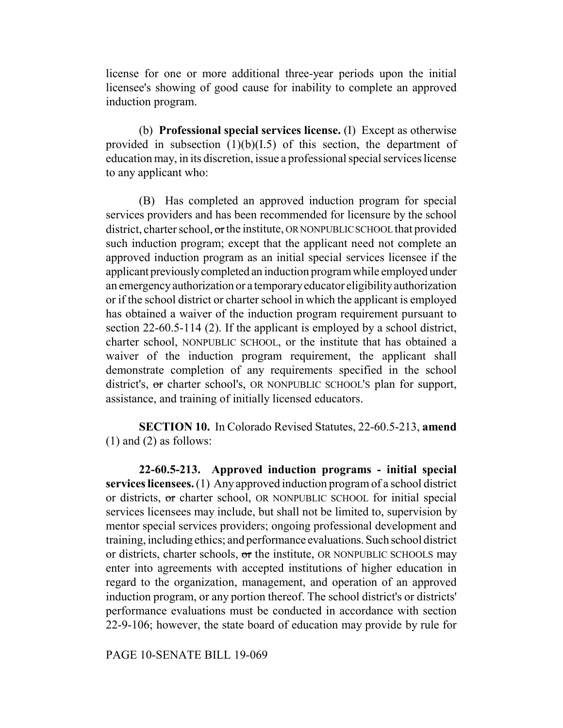license for one or more additional three-year periods upon the initial licensee's showing of good cause for inability to complete an approved induction program.

(b) **Professional special services license.** (I) Except as otherwise provided in subsection  $(1)(b)(I.5)$  of this section, the department of education may, in its discretion, issue a professional special services license to any applicant who:

(B) Has completed an approved induction program for special services providers and has been recommended for licensure by the school district, charter school, or the institute, OR NONPUBLIC SCHOOL that provided such induction program; except that the applicant need not complete an approved induction program as an initial special services licensee if the applicant previously completed an induction program while employed under an emergency authorization or a temporary educator eligibility authorization or if the school district or charter school in which the applicant is employed has obtained a waiver of the induction program requirement pursuant to section 22-60.5-114 (2). If the applicant is employed by a school district, charter school, NONPUBLIC SCHOOL, or the institute that has obtained a waiver of the induction program requirement, the applicant shall demonstrate completion of any requirements specified in the school district's, or charter school's, OR NONPUBLIC SCHOOL'S plan for support, assistance, and training of initially licensed educators.

**SECTION 10.** In Colorado Revised Statutes, 22-60.5-213, **amend** (1) and (2) as follows:

**22-60.5-213. Approved induction programs - initial special services licensees.** (1) Any approved induction program of a school district or districts, or charter school, OR NONPUBLIC SCHOOL for initial special services licensees may include, but shall not be limited to, supervision by mentor special services providers; ongoing professional development and training, including ethics; and performance evaluations. Such school district or districts, charter schools, or the institute, OR NONPUBLIC SCHOOLS may enter into agreements with accepted institutions of higher education in regard to the organization, management, and operation of an approved induction program, or any portion thereof. The school district's or districts' performance evaluations must be conducted in accordance with section 22-9-106; however, the state board of education may provide by rule for

PAGE 10-SENATE BILL 19-069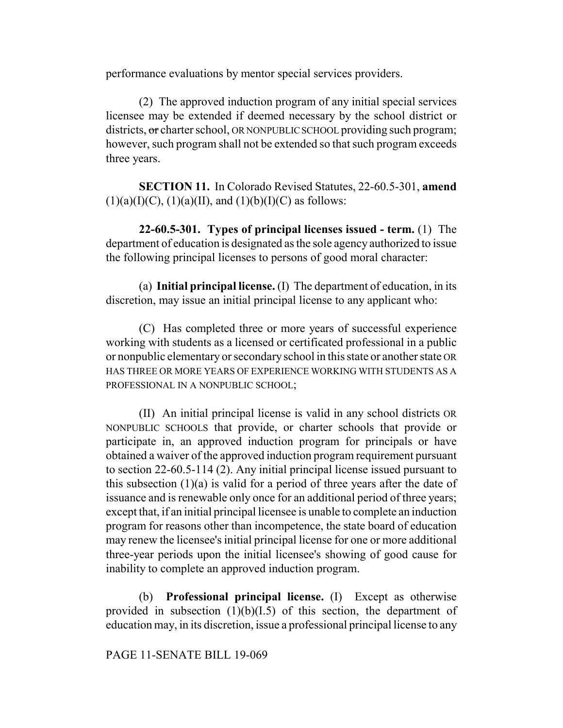performance evaluations by mentor special services providers.

(2) The approved induction program of any initial special services licensee may be extended if deemed necessary by the school district or districts, or charter school, OR NONPUBLIC SCHOOL providing such program; however, such program shall not be extended so that such program exceeds three years.

**SECTION 11.** In Colorado Revised Statutes, 22-60.5-301, **amend**  $(1)(a)(I)(C)$ ,  $(1)(a)(II)$ , and  $(1)(b)(I)(C)$  as follows:

**22-60.5-301. Types of principal licenses issued - term.** (1) The department of education is designated as the sole agency authorized to issue the following principal licenses to persons of good moral character:

(a) **Initial principal license.** (I) The department of education, in its discretion, may issue an initial principal license to any applicant who:

(C) Has completed three or more years of successful experience working with students as a licensed or certificated professional in a public or nonpublic elementary or secondary school in this state or another state OR HAS THREE OR MORE YEARS OF EXPERIENCE WORKING WITH STUDENTS AS A PROFESSIONAL IN A NONPUBLIC SCHOOL;

(II) An initial principal license is valid in any school districts OR NONPUBLIC SCHOOLS that provide, or charter schools that provide or participate in, an approved induction program for principals or have obtained a waiver of the approved induction program requirement pursuant to section 22-60.5-114 (2). Any initial principal license issued pursuant to this subsection  $(1)(a)$  is valid for a period of three years after the date of issuance and is renewable only once for an additional period of three years; except that, if an initial principal licensee is unable to complete an induction program for reasons other than incompetence, the state board of education may renew the licensee's initial principal license for one or more additional three-year periods upon the initial licensee's showing of good cause for inability to complete an approved induction program.

(b) **Professional principal license.** (I) Except as otherwise provided in subsection  $(1)(b)(I.5)$  of this section, the department of education may, in its discretion, issue a professional principal license to any

PAGE 11-SENATE BILL 19-069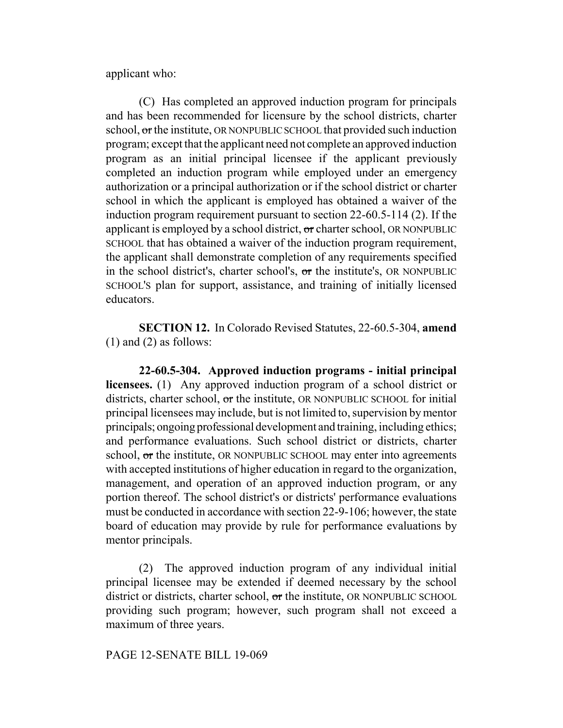applicant who:

(C) Has completed an approved induction program for principals and has been recommended for licensure by the school districts, charter school, or the institute, OR NONPUBLIC SCHOOL that provided such induction program; except that the applicant need not complete an approved induction program as an initial principal licensee if the applicant previously completed an induction program while employed under an emergency authorization or a principal authorization or if the school district or charter school in which the applicant is employed has obtained a waiver of the induction program requirement pursuant to section 22-60.5-114 (2). If the applicant is employed by a school district,  $\sigma$  charter school, OR NONPUBLIC SCHOOL that has obtained a waiver of the induction program requirement, the applicant shall demonstrate completion of any requirements specified in the school district's, charter school's, or the institute's, OR NONPUBLIC SCHOOL'S plan for support, assistance, and training of initially licensed educators.

**SECTION 12.** In Colorado Revised Statutes, 22-60.5-304, **amend** (1) and (2) as follows:

**22-60.5-304. Approved induction programs - initial principal licensees.** (1) Any approved induction program of a school district or districts, charter school, or the institute, OR NONPUBLIC SCHOOL for initial principal licensees may include, but is not limited to, supervision by mentor principals; ongoing professional development and training, including ethics; and performance evaluations. Such school district or districts, charter school, or the institute, OR NONPUBLIC SCHOOL may enter into agreements with accepted institutions of higher education in regard to the organization, management, and operation of an approved induction program, or any portion thereof. The school district's or districts' performance evaluations must be conducted in accordance with section 22-9-106; however, the state board of education may provide by rule for performance evaluations by mentor principals.

(2) The approved induction program of any individual initial principal licensee may be extended if deemed necessary by the school district or districts, charter school, or the institute, OR NONPUBLIC SCHOOL providing such program; however, such program shall not exceed a maximum of three years.

### PAGE 12-SENATE BILL 19-069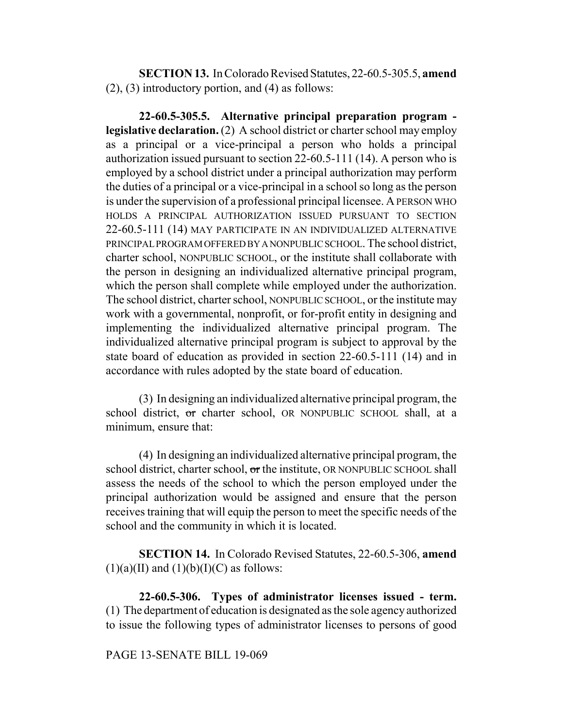**SECTION 13.** In Colorado Revised Statutes, 22-60.5-305.5, **amend** (2), (3) introductory portion, and (4) as follows:

**22-60.5-305.5. Alternative principal preparation program legislative declaration.** (2) A school district or charter school may employ as a principal or a vice-principal a person who holds a principal authorization issued pursuant to section 22-60.5-111 (14). A person who is employed by a school district under a principal authorization may perform the duties of a principal or a vice-principal in a school so long as the person is under the supervision of a professional principal licensee. A PERSON WHO HOLDS A PRINCIPAL AUTHORIZATION ISSUED PURSUANT TO SECTION 22-60.5-111 (14) MAY PARTICIPATE IN AN INDIVIDUALIZED ALTERNATIVE PRINCIPAL PROGRAM OFFERED BY A NONPUBLIC SCHOOL. The school district, charter school, NONPUBLIC SCHOOL, or the institute shall collaborate with the person in designing an individualized alternative principal program, which the person shall complete while employed under the authorization. The school district, charter school, NONPUBLIC SCHOOL, or the institute may work with a governmental, nonprofit, or for-profit entity in designing and implementing the individualized alternative principal program. The individualized alternative principal program is subject to approval by the state board of education as provided in section 22-60.5-111 (14) and in accordance with rules adopted by the state board of education.

(3) In designing an individualized alternative principal program, the school district, or charter school, OR NONPUBLIC SCHOOL shall, at a minimum, ensure that:

(4) In designing an individualized alternative principal program, the school district, charter school, or the institute, OR NONPUBLIC SCHOOL shall assess the needs of the school to which the person employed under the principal authorization would be assigned and ensure that the person receives training that will equip the person to meet the specific needs of the school and the community in which it is located.

**SECTION 14.** In Colorado Revised Statutes, 22-60.5-306, **amend**  $(1)(a)(II)$  and  $(1)(b)(I)(C)$  as follows:

**22-60.5-306. Types of administrator licenses issued - term.** (1) The department of education is designated as the sole agency authorized to issue the following types of administrator licenses to persons of good

## PAGE 13-SENATE BILL 19-069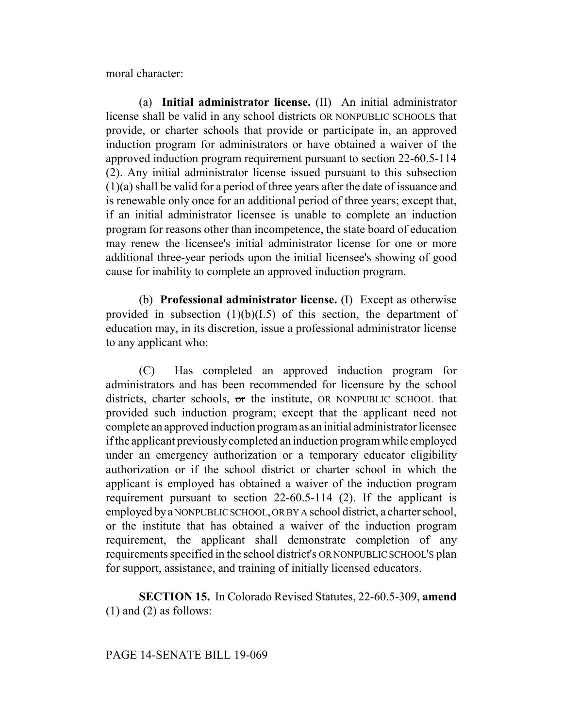moral character:

(a) **Initial administrator license.** (II) An initial administrator license shall be valid in any school districts OR NONPUBLIC SCHOOLS that provide, or charter schools that provide or participate in, an approved induction program for administrators or have obtained a waiver of the approved induction program requirement pursuant to section 22-60.5-114 (2). Any initial administrator license issued pursuant to this subsection (1)(a) shall be valid for a period of three years after the date of issuance and is renewable only once for an additional period of three years; except that, if an initial administrator licensee is unable to complete an induction program for reasons other than incompetence, the state board of education may renew the licensee's initial administrator license for one or more additional three-year periods upon the initial licensee's showing of good cause for inability to complete an approved induction program.

(b) **Professional administrator license.** (I) Except as otherwise provided in subsection  $(1)(b)(I.5)$  of this section, the department of education may, in its discretion, issue a professional administrator license to any applicant who:

(C) Has completed an approved induction program for administrators and has been recommended for licensure by the school districts, charter schools, or the institute, OR NONPUBLIC SCHOOL that provided such induction program; except that the applicant need not complete an approved induction program as an initial administrator licensee if the applicant previously completed an induction program while employed under an emergency authorization or a temporary educator eligibility authorization or if the school district or charter school in which the applicant is employed has obtained a waiver of the induction program requirement pursuant to section 22-60.5-114 (2). If the applicant is employed by a NONPUBLIC SCHOOL, OR BY A school district, a charter school, or the institute that has obtained a waiver of the induction program requirement, the applicant shall demonstrate completion of any requirements specified in the school district's OR NONPUBLIC SCHOOL'S plan for support, assistance, and training of initially licensed educators.

**SECTION 15.** In Colorado Revised Statutes, 22-60.5-309, **amend**  $(1)$  and  $(2)$  as follows:

# PAGE 14-SENATE BILL 19-069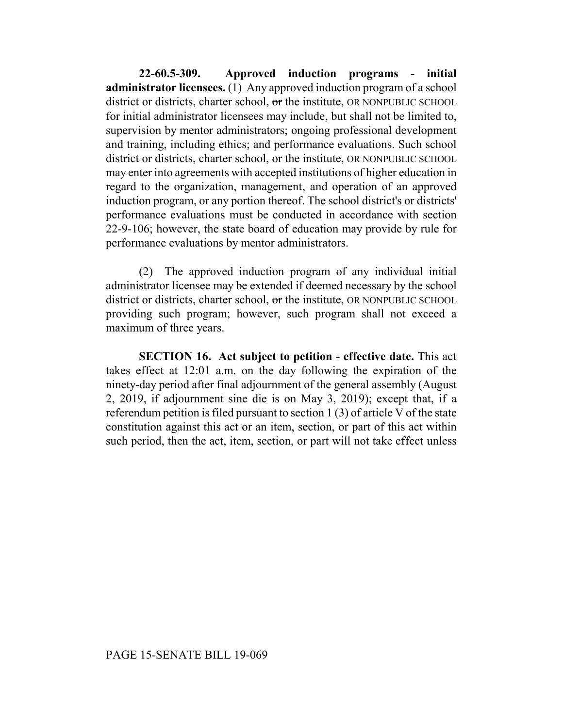**22-60.5-309. Approved induction programs - initial administrator licensees.** (1) Any approved induction program of a school district or districts, charter school, or the institute, OR NONPUBLIC SCHOOL for initial administrator licensees may include, but shall not be limited to, supervision by mentor administrators; ongoing professional development and training, including ethics; and performance evaluations. Such school district or districts, charter school, or the institute, OR NONPUBLIC SCHOOL may enter into agreements with accepted institutions of higher education in regard to the organization, management, and operation of an approved induction program, or any portion thereof. The school district's or districts' performance evaluations must be conducted in accordance with section 22-9-106; however, the state board of education may provide by rule for performance evaluations by mentor administrators.

(2) The approved induction program of any individual initial administrator licensee may be extended if deemed necessary by the school district or districts, charter school, or the institute, OR NONPUBLIC SCHOOL providing such program; however, such program shall not exceed a maximum of three years.

**SECTION 16. Act subject to petition - effective date.** This act takes effect at 12:01 a.m. on the day following the expiration of the ninety-day period after final adjournment of the general assembly (August 2, 2019, if adjournment sine die is on May 3, 2019); except that, if a referendum petition is filed pursuant to section 1 (3) of article V of the state constitution against this act or an item, section, or part of this act within such period, then the act, item, section, or part will not take effect unless